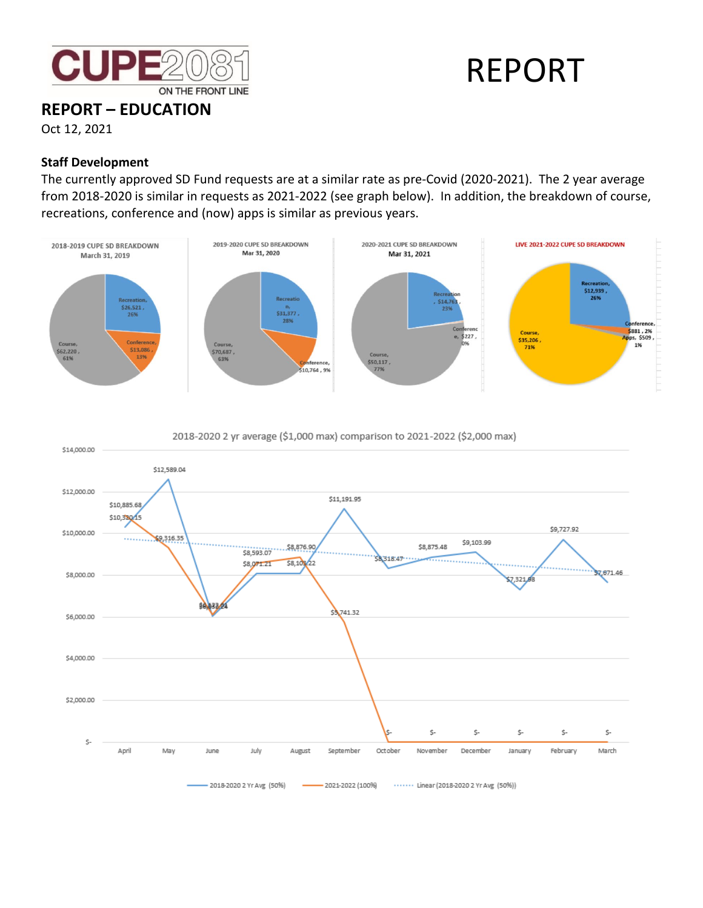

# REPORT

**REPORT – EDUCATION** Oct 12, 2021

### **Staff Development**

The currently approved SD Fund requests are at a similar rate as pre-Covid (2020-2021). The 2 year average from 2018-2020 is similar in requests as 2021-2022 (see graph below). In addition, the breakdown of course, recreations, conference and (now) apps is similar as previous years.





2018-2020 2 yr average (\$1,000 max) comparison to 2021-2022 (\$2,000 max)

- 2018-2020 2 Yr Avg (50%) - 2021-2022 (100%) ...... Linear (2018-2020 2 Yr Avg (50%)) ۰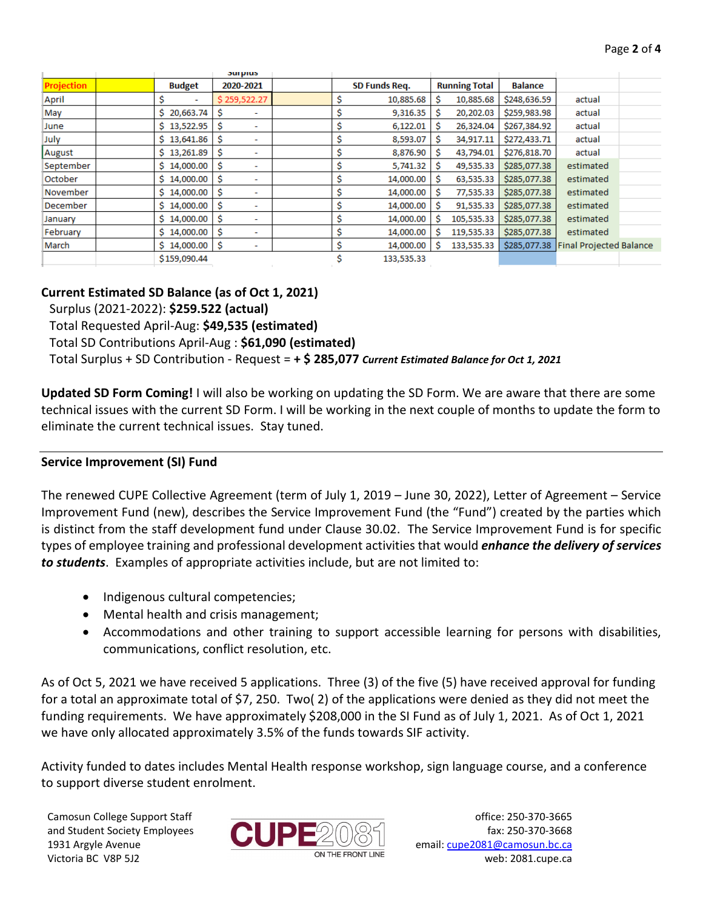|                   |                 | <b>Surprus</b>                 |               |            |                      |            |                |                                |  |
|-------------------|-----------------|--------------------------------|---------------|------------|----------------------|------------|----------------|--------------------------------|--|
| <b>Projection</b> | <b>Budget</b>   | 2020-2021                      | SD Funds Req. |            | <b>Running Total</b> |            | <b>Balance</b> |                                |  |
| April             | s<br>٠          | \$259,522.27                   |               | 10,885.68  | s                    | 10,885.68  | \$248,636.59   | actual                         |  |
| May               | \$20,663.74     | -S<br>$\sim$                   |               | 9,316.35   | Ŝ                    | 20,202.03  | \$259,983.98   | actual                         |  |
| June              | \$13,522.95     | -Ŝ<br>$\overline{\phantom{a}}$ |               | 6,122.01   | S                    | 26,324.04  | \$267,384.92   | actual                         |  |
| July              | \$13,641.86     | -Ŝ<br>٠                        |               | 8,593.07   | S                    | 34,917.11  | \$272,433.71   | actual                         |  |
| August            | \$13,261.89     | -Ŝ<br>$\overline{\phantom{a}}$ |               | 8,876.90   | s                    | 43,794.01  | \$276,818.70   | actual                         |  |
| September         | \$14,000.00     | -Ŝ<br>٠                        | s             | 5,741.32   | s                    | 49,535.33  | \$285,077.38   | estimated                      |  |
| October           | \$14,000.00     | -S<br>٠                        |               | 14,000.00  | Ŝ                    | 63,535.33  | \$285,077.38   | estimated                      |  |
| November          | \$14,000.00     | -Ŝ<br>$\overline{\phantom{0}}$ |               | 14,000.00  | Ŝ                    | 77,535.33  | \$285,077.38   | estimated                      |  |
| December          | \$14,000.00     | -Ś<br>$\overline{\phantom{0}}$ |               | 14,000.00  | Ŝ                    | 91,535.33  | \$285,077.38   | estimated                      |  |
| January           | 14,000.00<br>Ŝ. | -Ś<br>$\overline{\phantom{0}}$ |               | 14,000.00  |                      | 105,535.33 | \$285,077.38   | estimated                      |  |
| February          | \$14,000.00     | -Ś<br>$\overline{\phantom{a}}$ |               | 14,000.00  |                      | 119,535.33 | \$285,077.38   | estimated                      |  |
| March             | \$14,000.00     | ۱Ś<br>٠                        | Ś             | 14,000.00  | -S                   | 133,535.33 | \$285,077.38   | <b>Final Projected Balance</b> |  |
|                   | \$159,090.44    |                                |               | 133,535.33 |                      |            |                |                                |  |

#### **Current Estimated SD Balance (as of Oct 1, 2021)**

Surplus (2021-2022): **\$259.522 (actual)**

Total Requested April-Aug: **\$49,535 (estimated)**

Total SD Contributions April-Aug : **\$61,090 (estimated)**

Total Surplus + SD Contribution - Request = **+ \$ 285,077** *Current Estimated Balance for Oct 1, 2021*

**Updated SD Form Coming!** I will also be working on updating the SD Form. We are aware that there are some technical issues with the current SD Form. I will be working in the next couple of months to update the form to eliminate the current technical issues. Stay tuned.

#### **Service Improvement (SI) Fund**

The renewed CUPE Collective Agreement (term of July 1, 2019 – June 30, 2022), Letter of Agreement – Service Improvement Fund (new), describes the Service Improvement Fund (the "Fund") created by the parties which is distinct from the staff development fund under Clause 30.02. The Service Improvement Fund is for specific types of employee training and professional development activities that would *enhance the delivery of services to students*. Examples of appropriate activities include, but are not limited to:

- Indigenous cultural competencies;
- Mental health and crisis management;
- Accommodations and other training to support accessible learning for persons with disabilities, communications, conflict resolution, etc.

As of Oct 5, 2021 we have received 5 applications. Three (3) of the five (5) have received approval for funding for a total an approximate total of \$7, 250. Two( 2) of the applications were denied as they did not meet the funding requirements. We have approximately \$208,000 in the SI Fund as of July 1, 2021. As of Oct 1, 2021 we have only allocated approximately 3.5% of the funds towards SIF activity.

Activity funded to dates includes Mental Health response workshop, sign language course, and a conference to support diverse student enrolment.

Camosun College Support Staff and Student Society Employees 1931 Argyle Avenue Victoria BC V8P 5J2



office: 250-370-3665 fax: 250-370-3668 email[: cupe2081@camosun.bc.ca](mailto:cupe2081@camosun.bc.ca) web: 2081.cupe.ca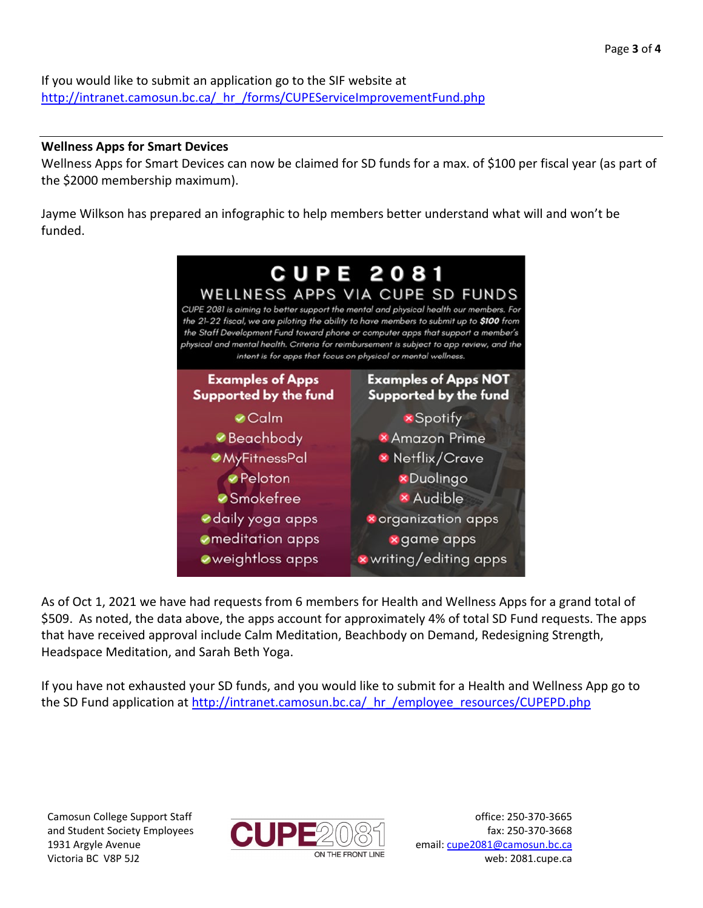If you would like to submit an application go to the SIF website at http://intranet.camosun.bc.ca/ hr /forms/CUPEServiceImprovementFund.php

## **Wellness Apps for Smart Devices**

Wellness Apps for Smart Devices can now be claimed for SD funds for a max. of \$100 per fiscal year (as part of the \$2000 membership maximum).

Jayme Wilkson has prepared an infographic to help members better understand what will and won't be funded.



As of Oct 1, 2021 we have had requests from 6 members for Health and Wellness Apps for a grand total of \$509. As noted, the data above, the apps account for approximately 4% of total SD Fund requests. The apps that have received approval include Calm Meditation, Beachbody on Demand, Redesigning Strength, Headspace Meditation, and Sarah Beth Yoga.

If you have not exhausted your SD funds, and you would like to submit for a Health and Wellness App go to the SD Fund application at http://intranet.camosun.bc.ca/ hr /employee\_resources/CUPEPD.php

Camosun College Support Staff and Student Society Employees 1931 Argyle Avenue Victoria BC V8P 5J2



office: 250-370-3665 fax: 250-370-3668 email[: cupe2081@camosun.bc.ca](mailto:cupe2081@camosun.bc.ca) web: 2081.cupe.ca